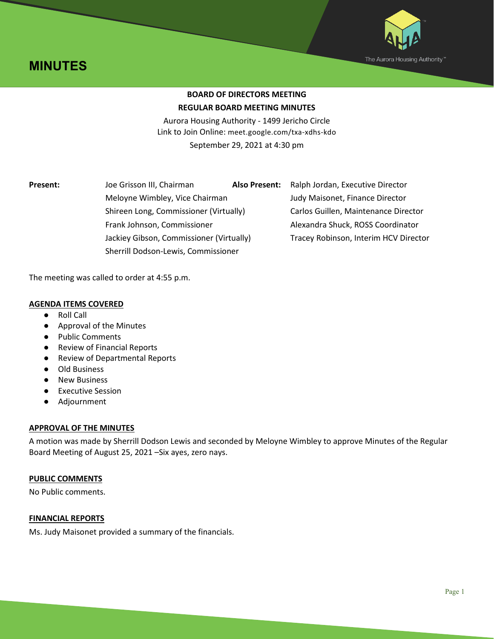



# **BOARD OF DIRECTORS MEETING REGULAR BOARD MEETING MINUTES**

Aurora Housing Authority - 1499 Jericho Circle Link to Join Online: meet.google.com/txa-xdhs-kdo September 29, 2021 at 4:30 pm

Meloyne Wimbley, Vice Chairman Judy Maisonet, Finance Director Shireen Long, Commissioner (Virtually) Carlos Guillen, Maintenance Director Frank Johnson, Commissioner **Alexandra Shuck, ROSS Coordinator** Jackiey Gibson, Commissioner (Virtually) Tracey Robinson, Interim HCV Director Sherrill Dodson-Lewis, Commissioner

**Present:** Joe Grisson III, Chairman **Also Present:** Ralph Jordan, Executive Director

The meeting was called to order at 4:55 p.m.

## **AGENDA ITEMS COVERED**

- Roll Call
- Approval of the Minutes
- **Public Comments**
- Review of Financial Reports
- Review of Departmental Reports
- Old Business
- New Business
- Executive Session
- Adjournment

## **APPROVAL OF THE MINUTES**

A motion was made by Sherrill Dodson Lewis and seconded by Meloyne Wimbley to approve Minutes of the Regular Board Meeting of August 25, 2021 –Six ayes, zero nays.

## **PUBLIC COMMENTS**

No Public comments.

## **FINANCIAL REPORTS**

Ms. Judy Maisonet provided a summary of the financials.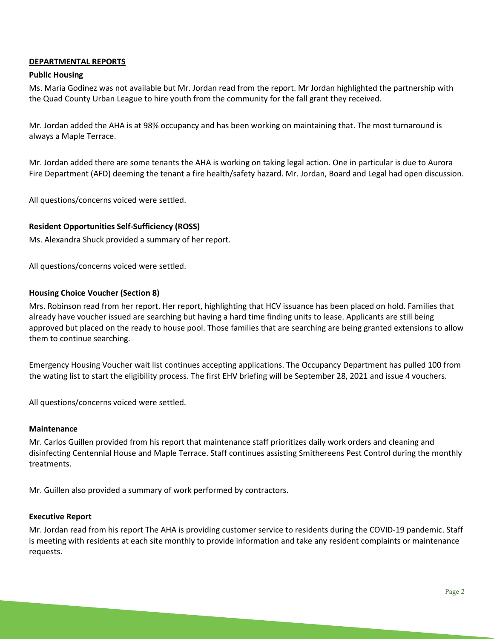## **DEPARTMENTAL REPORTS**

#### **Public Housing**

Ms. Maria Godinez was not available but Mr. Jordan read from the report. Mr Jordan highlighted the partnership with the Quad County Urban League to hire youth from the community for the fall grant they received.

Mr. Jordan added the AHA is at 98% occupancy and has been working on maintaining that. The most turnaround is always a Maple Terrace.

Mr. Jordan added there are some tenants the AHA is working on taking legal action. One in particular is due to Aurora Fire Department (AFD) deeming the tenant a fire health/safety hazard. Mr. Jordan, Board and Legal had open discussion.

All questions/concerns voiced were settled.

### **Resident Opportunities Self-Sufficiency (ROSS)**

Ms. Alexandra Shuck provided a summary of her report.

All questions/concerns voiced were settled.

#### **Housing Choice Voucher (Section 8)**

Mrs. Robinson read from her report. Her report, highlighting that HCV issuance has been placed on hold. Families that already have voucher issued are searching but having a hard time finding units to lease. Applicants are still being approved but placed on the ready to house pool. Those families that are searching are being granted extensions to allow them to continue searching.

Emergency Housing Voucher wait list continues accepting applications. The Occupancy Department has pulled 100 from the wating list to start the eligibility process. The first EHV briefing will be September 28, 2021 and issue 4 vouchers.

All questions/concerns voiced were settled.

#### **Maintenance**

Mr. Carlos Guillen provided from his report that maintenance staff prioritizes daily work orders and cleaning and disinfecting Centennial House and Maple Terrace. Staff continues assisting Smithereens Pest Control during the monthly treatments.

Mr. Guillen also provided a summary of work performed by contractors.

#### **Executive Report**

Mr. Jordan read from his report The AHA is providing customer service to residents during the COVID-19 pandemic. Staff is meeting with residents at each site monthly to provide information and take any resident complaints or maintenance requests.